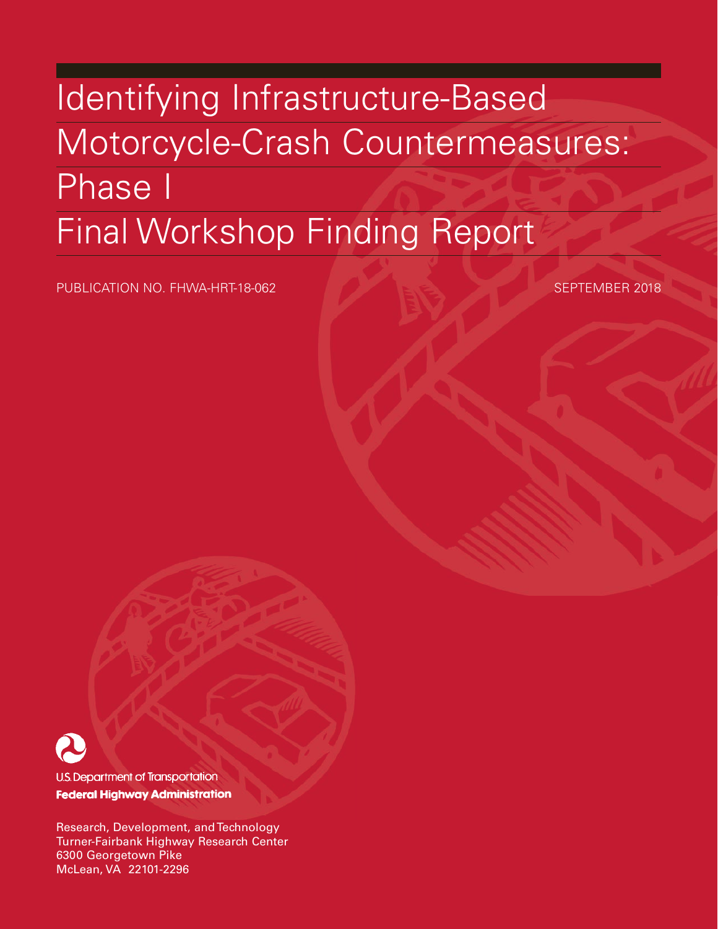# Identifying Infrastructure-Based Motorcycle-Crash Countermeasures: Phase I Final Workshop Finding Report

PUBLICATION NO. FHWA-HRT-18-062 SEPTEMBER 2018



**U.S. Department of Transportation Federal Highway Administration** 

Research, Development, and Technology Turner-Fairbank Highway Research Center 6300 Georgetown Pike McLean, VA 22101-2296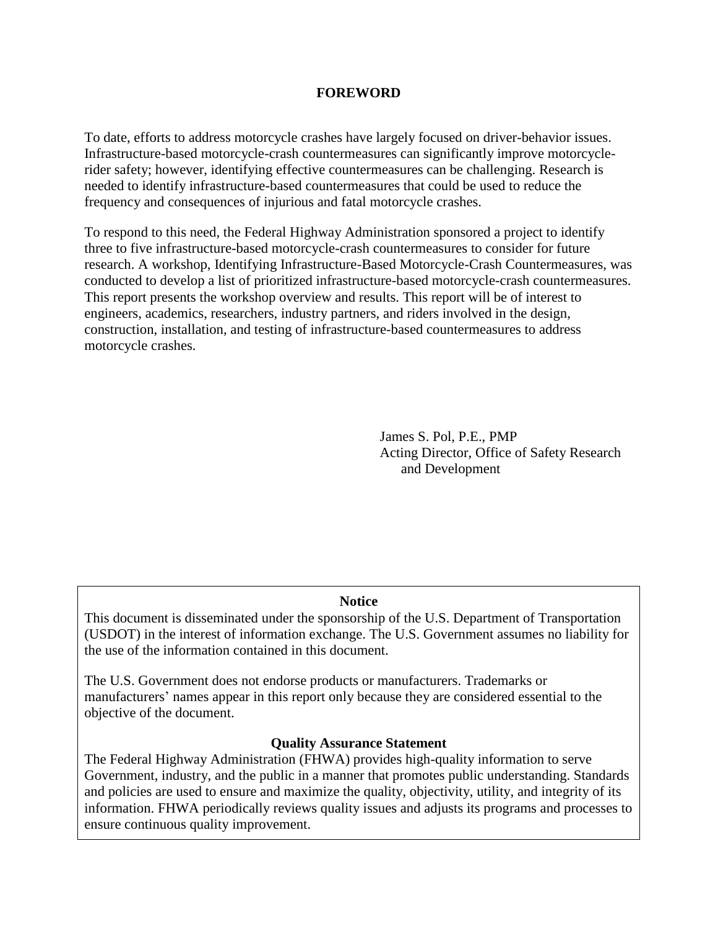#### **FOREWORD**

To date, efforts to address motorcycle crashes have largely focused on driver-behavior issues. Infrastructure-based motorcycle-crash countermeasures can significantly improve motorcyclerider safety; however, identifying effective countermeasures can be challenging. Research is needed to identify infrastructure-based countermeasures that could be used to reduce the frequency and consequences of injurious and fatal motorcycle crashes.

To respond to this need, the Federal Highway Administration sponsored a project to identify three to five infrastructure-based motorcycle-crash countermeasures to consider for future research. A workshop, Identifying Infrastructure-Based Motorcycle-Crash Countermeasures, was conducted to develop a list of prioritized infrastructure-based motorcycle-crash countermeasures. This report presents the workshop overview and results. This report will be of interest to engineers, academics, researchers, industry partners, and riders involved in the design, construction, installation, and testing of infrastructure-based countermeasures to address motorcycle crashes.

> James S. Pol, P.E., PMP Acting Director, Office of Safety Research and Development

#### **Notice**

This document is disseminated under the sponsorship of the U.S. Department of Transportation (USDOT) in the interest of information exchange. The U.S. Government assumes no liability for the use of the information contained in this document.

The U.S. Government does not endorse products or manufacturers. Trademarks or manufacturers' names appear in this report only because they are considered essential to the objective of the document.

#### **Quality Assurance Statement**

The Federal Highway Administration (FHWA) provides high-quality information to serve Government, industry, and the public in a manner that promotes public understanding. Standards and policies are used to ensure and maximize the quality, objectivity, utility, and integrity of its information. FHWA periodically reviews quality issues and adjusts its programs and processes to ensure continuous quality improvement.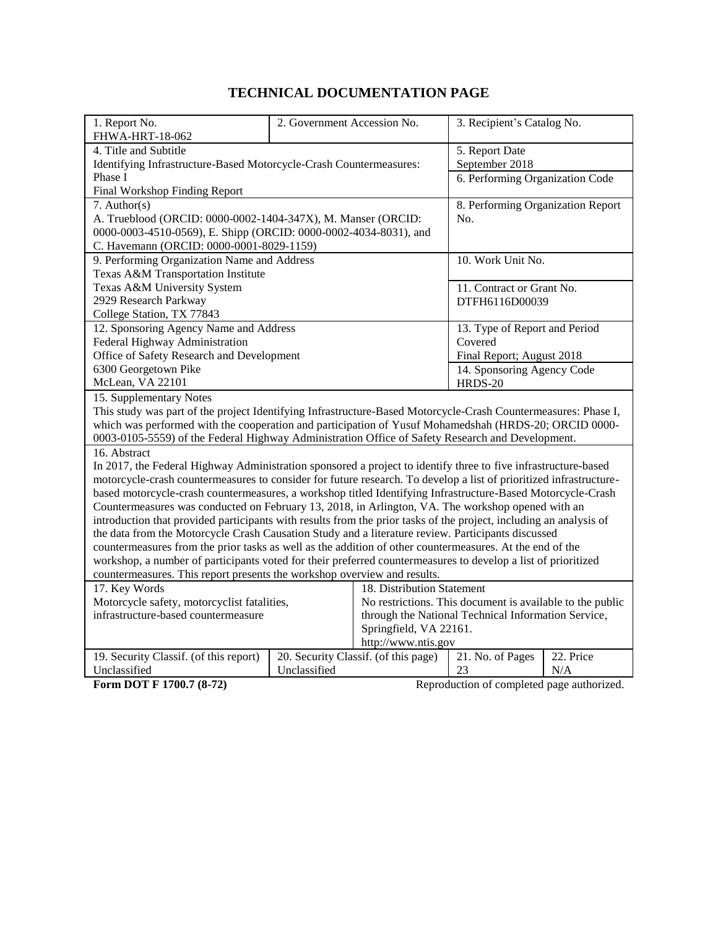# **TECHNICAL DOCUMENTATION PAGE**

| 1. Report No.                                                                                                      | 2. Government Accession No.                                                                                      |                                                             | 3. Recipient's Catalog No.                        |           |  |
|--------------------------------------------------------------------------------------------------------------------|------------------------------------------------------------------------------------------------------------------|-------------------------------------------------------------|---------------------------------------------------|-----------|--|
| FHWA-HRT-18-062<br>4. Title and Subtitle                                                                           |                                                                                                                  |                                                             |                                                   |           |  |
|                                                                                                                    |                                                                                                                  |                                                             | 5. Report Date                                    |           |  |
| Identifying Infrastructure-Based Motorcycle-Crash Countermeasures:<br>Phase I                                      |                                                                                                                  |                                                             | September 2018<br>6. Performing Organization Code |           |  |
| Final Workshop Finding Report                                                                                      |                                                                                                                  |                                                             |                                                   |           |  |
| $7.$ Author(s)                                                                                                     |                                                                                                                  |                                                             | 8. Performing Organization Report                 |           |  |
| A. Trueblood (ORCID: 0000-0002-1404-347X), M. Manser (ORCID:                                                       |                                                                                                                  |                                                             | No.                                               |           |  |
| 0000-0003-4510-0569), E. Shipp (ORCID: 0000-0002-4034-8031), and                                                   |                                                                                                                  |                                                             |                                                   |           |  |
| C. Havemann (ORCID: 0000-0001-8029-1159)                                                                           |                                                                                                                  |                                                             |                                                   |           |  |
| 9. Performing Organization Name and Address                                                                        |                                                                                                                  |                                                             | 10. Work Unit No.                                 |           |  |
| Texas A&M Transportation Institute                                                                                 |                                                                                                                  |                                                             |                                                   |           |  |
| Texas A&M University System                                                                                        |                                                                                                                  |                                                             | 11. Contract or Grant No.                         |           |  |
| 2929 Research Parkway                                                                                              |                                                                                                                  |                                                             | DTFH6116D00039                                    |           |  |
| College Station, TX 77843                                                                                          |                                                                                                                  |                                                             |                                                   |           |  |
| 12. Sponsoring Agency Name and Address                                                                             |                                                                                                                  |                                                             | 13. Type of Report and Period                     |           |  |
| Federal Highway Administration                                                                                     |                                                                                                                  |                                                             | Covered                                           |           |  |
| Office of Safety Research and Development                                                                          |                                                                                                                  |                                                             | Final Report; August 2018                         |           |  |
| 6300 Georgetown Pike                                                                                               |                                                                                                                  |                                                             | 14. Sponsoring Agency Code                        |           |  |
| McLean, VA 22101                                                                                                   |                                                                                                                  |                                                             | <b>HRDS-20</b>                                    |           |  |
| 15. Supplementary Notes                                                                                            |                                                                                                                  |                                                             |                                                   |           |  |
| This study was part of the project Identifying Infrastructure-Based Motorcycle-Crash Countermeasures: Phase I,     |                                                                                                                  |                                                             |                                                   |           |  |
| which was performed with the cooperation and participation of Yusuf Mohamedshah (HRDS-20; ORCID 0000-              |                                                                                                                  |                                                             |                                                   |           |  |
| 0003-0105-5559) of the Federal Highway Administration Office of Safety Research and Development.                   |                                                                                                                  |                                                             |                                                   |           |  |
| 16. Abstract                                                                                                       |                                                                                                                  |                                                             |                                                   |           |  |
| In 2017, the Federal Highway Administration sponsored a project to identify three to five infrastructure-based     |                                                                                                                  |                                                             |                                                   |           |  |
| motorcycle-crash countermeasures to consider for future research. To develop a list of prioritized infrastructure- |                                                                                                                  |                                                             |                                                   |           |  |
| based motorcycle-crash countermeasures, a workshop titled Identifying Infrastructure-Based Motorcycle-Crash        |                                                                                                                  |                                                             |                                                   |           |  |
| Countermeasures was conducted on February 13, 2018, in Arlington, VA. The workshop opened with an                  |                                                                                                                  |                                                             |                                                   |           |  |
| introduction that provided participants with results from the prior tasks of the project, including an analysis of |                                                                                                                  |                                                             |                                                   |           |  |
| the data from the Motorcycle Crash Causation Study and a literature review. Participants discussed                 |                                                                                                                  |                                                             |                                                   |           |  |
| countermeasures from the prior tasks as well as the addition of other countermeasures. At the end of the           |                                                                                                                  |                                                             |                                                   |           |  |
| workshop, a number of participants voted for their preferred countermeasures to develop a list of prioritized      |                                                                                                                  |                                                             |                                                   |           |  |
| countermeasures. This report presents the workshop overview and results.                                           |                                                                                                                  |                                                             |                                                   |           |  |
| 17. Key Words                                                                                                      | 18. Distribution Statement                                                                                       |                                                             |                                                   |           |  |
| Motorcycle safety, motorcyclist fatalities,<br>infrastructure-based countermeasure                                 | No restrictions. This document is available to the public<br>through the National Technical Information Service, |                                                             |                                                   |           |  |
|                                                                                                                    | Springfield, VA 22161.                                                                                           |                                                             |                                                   |           |  |
|                                                                                                                    |                                                                                                                  |                                                             |                                                   |           |  |
| 19. Security Classif. (of this report)                                                                             |                                                                                                                  | http://www.ntis.gov<br>20. Security Classif. (of this page) | 21. No. of Pages                                  | 22. Price |  |
| Unclassified                                                                                                       | Unclassified                                                                                                     |                                                             | 23                                                | N/A       |  |
| Form DOT F 1700.7 (8-72)                                                                                           |                                                                                                                  |                                                             |                                                   |           |  |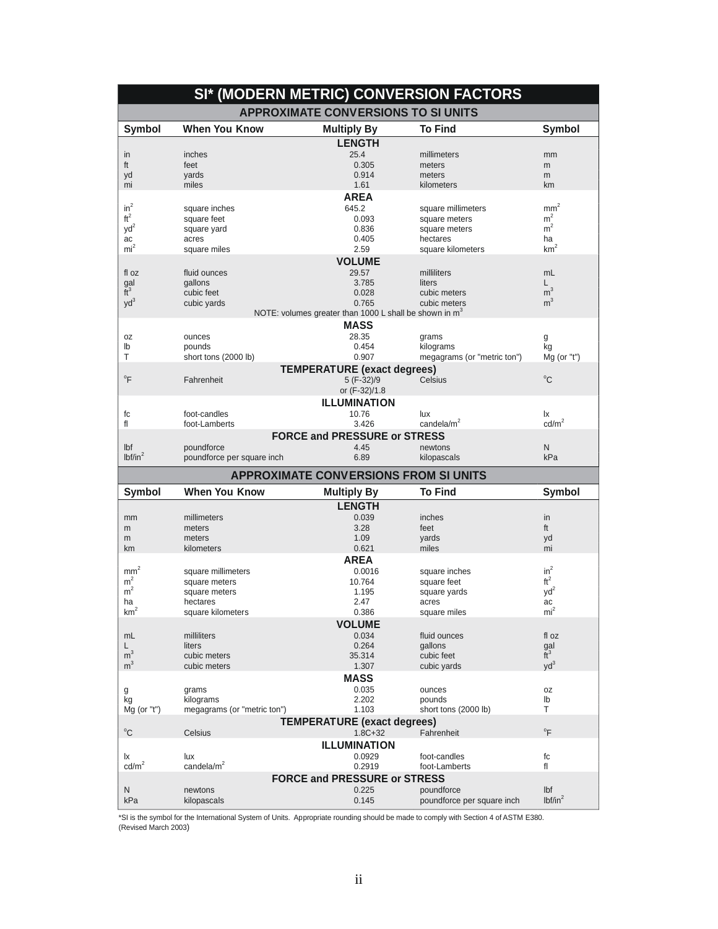|                      |                             |                                                                    | SI* (MODERN METRIC) CONVERSION FACTORS   |                            |
|----------------------|-----------------------------|--------------------------------------------------------------------|------------------------------------------|----------------------------|
|                      |                             | <b>APPROXIMATE CONVERSIONS TO SI UNITS</b>                         |                                          |                            |
| <b>Symbol</b>        | <b>When You Know</b>        | <b>Multiply By</b>                                                 | <b>To Find</b>                           | <b>Symbol</b>              |
|                      |                             | <b>LENGTH</b>                                                      |                                          |                            |
| in                   | inches                      | 25.4                                                               | millimeters                              | mm                         |
| ft                   | feet                        | 0.305                                                              | meters                                   | m                          |
| yd                   | yards                       | 0.914                                                              | meters                                   | m                          |
| mi                   | miles                       | 1.61                                                               | kilometers                               | km                         |
|                      |                             | <b>AREA</b>                                                        |                                          |                            |
| $in^2$               | square inches               | 645.2                                                              | square millimeters                       | mm <sup>2</sup>            |
| $ft^2$               | square feet                 | 0.093                                                              | square meters                            | m <sup>2</sup>             |
| $yd^2$               | square yard                 | 0.836                                                              | square meters                            | $m^2$                      |
| ac                   | acres                       | 0.405                                                              | hectares                                 | ha                         |
| $mi^2$               | square miles                | 2.59                                                               | square kilometers                        | km <sup>2</sup>            |
|                      |                             | <b>VOLUME</b>                                                      |                                          |                            |
| fl oz                | fluid ounces                | 29.57                                                              | milliliters                              | mL                         |
| gal                  | gallons                     | 3.785                                                              | liters                                   | L.                         |
| $\tilde{t}^3$        | cubic feet                  | 0.028                                                              | cubic meters                             | m <sup>3</sup>             |
| $yd^3$               | cubic yards                 | 0.765                                                              | cubic meters                             | m <sup>3</sup>             |
|                      |                             | NOTE: volumes greater than 1000 L shall be shown in m <sup>3</sup> |                                          |                            |
|                      |                             | <b>MASS</b>                                                        |                                          |                            |
| 0Z                   | ounces                      | 28.35                                                              | grams                                    |                            |
| lb                   | pounds                      | 0.454                                                              | kilograms                                | g<br>kg                    |
| Τ                    | short tons (2000 lb)        | 0.907                                                              | megagrams (or "metric ton")              | $Mg$ (or "t")              |
|                      |                             |                                                                    |                                          |                            |
|                      |                             | <b>TEMPERATURE (exact degrees)</b>                                 |                                          |                            |
| $\overline{F}$       | Fahrenheit                  | 5 (F-32)/9                                                         | Celsius                                  | $^{\circ}$ C               |
|                      |                             | or (F-32)/1.8                                                      |                                          |                            |
|                      |                             | <b>ILLUMINATION</b>                                                |                                          |                            |
| fc                   | foot-candles                | 10.76                                                              | lux                                      | lχ                         |
| fl                   | foot-Lamberts               | 3.426                                                              | candela/m <sup>2</sup>                   | $\text{cd/m}^2$            |
|                      |                             | <b>FORCE and PRESSURE or STRESS</b>                                |                                          |                            |
| Ibf                  | poundforce                  | 4.45                                                               | newtons                                  | N                          |
| lbf/in <sup>2</sup>  | poundforce per square inch  | 6.89                                                               | kilopascals                              | kPa                        |
|                      |                             | <b>APPROXIMATE CONVERSIONS FROM SI UNITS</b>                       |                                          |                            |
| <b>Symbol</b>        | <b>When You Know</b>        | <b>Multiply By</b>                                                 | <b>To Find</b>                           | <b>Symbol</b>              |
|                      |                             | <b>LENGTH</b>                                                      |                                          |                            |
| mm                   | millimeters                 | 0.039                                                              | inches                                   | in                         |
|                      |                             | 3.28                                                               | feet                                     | ft                         |
| m                    | meters<br>meters            |                                                                    |                                          |                            |
| m                    | kilometers                  | 1.09<br>0.621                                                      | yards<br>miles                           | yd<br>mi                   |
| km                   |                             |                                                                    |                                          |                            |
|                      |                             | <b>AREA</b>                                                        |                                          |                            |
| mm <sup>2</sup>      | square millimeters          | 0.0016                                                             | square inches                            | $in^2$                     |
| m <sup>2</sup>       | square meters               | 10.764                                                             | square feet                              | ft <sup>2</sup>            |
| m <sup>2</sup>       | square meters               | 1.195                                                              | square yards                             | $yd^2$                     |
| ha<br>$\overline{2}$ | hectares                    | 2.47                                                               | acres                                    | ac<br>mi <sup>2</sup>      |
| km <sup>2</sup>      | square kilometers           | 0.386                                                              | square miles                             |                            |
|                      |                             |                                                                    |                                          |                            |
|                      |                             | <b>VOLUME</b>                                                      |                                          |                            |
| mL                   | milliliters                 | 0.034                                                              | fluid ounces                             | fl oz                      |
| L                    | liters                      | 0.264                                                              | gallons                                  |                            |
| m <sup>3</sup>       | cubic meters                | 35.314                                                             | cubic feet                               | $\frac{gal}{ft^3}$         |
| m <sup>3</sup>       | cubic meters                | 1.307                                                              | cubic yards                              | $yd^3$                     |
|                      |                             | <b>MASS</b>                                                        |                                          |                            |
| g                    | grams                       | 0.035                                                              | ounces                                   | 0Z                         |
| kg                   | kilograms                   | 2.202                                                              | pounds                                   | lb                         |
| $Mg$ (or "t")        | megagrams (or "metric ton") | 1.103                                                              | short tons (2000 lb)                     | т                          |
|                      |                             | <b>TEMPERATURE (exact degrees)</b>                                 |                                          |                            |
| $^{\circ}$ C         | Celsius                     | $1.8C + 32$                                                        | Fahrenheit                               | $\mathrm{P}^{\circ}$       |
|                      |                             |                                                                    |                                          |                            |
|                      |                             | <b>ILLUMINATION</b>                                                |                                          |                            |
| Ιx                   | lux                         | 0.0929                                                             | foot-candles                             | fc                         |
| $\text{cd/m}^2$      | candela/m <sup>2</sup>      | 0.2919                                                             | foot-Lamberts                            | fl                         |
|                      |                             | <b>FORCE and PRESSURE or STRESS</b>                                |                                          |                            |
| Ν<br>kPa             | newtons<br>kilopascals      | 0.225<br>0.145                                                     | poundforce<br>poundforce per square inch | Ibf<br>lbf/in <sup>2</sup> |

\*SI is the symbol for the International System of Units. Appropriate rounding should be made to comply with Section 4 of ASTM E380. (Revised March 2003)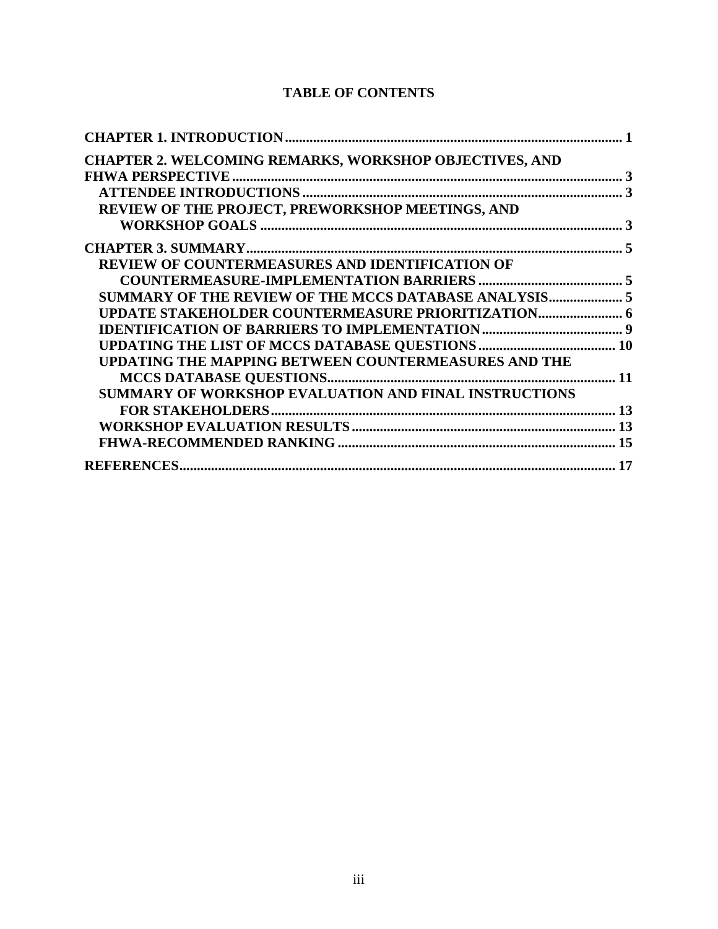# **TABLE OF CONTENTS**

| CHAPTER 2. WELCOMING REMARKS, WORKSHOP OBJECTIVES, AND      |  |
|-------------------------------------------------------------|--|
|                                                             |  |
|                                                             |  |
| REVIEW OF THE PROJECT, PREWORKSHOP MEETINGS, AND            |  |
|                                                             |  |
|                                                             |  |
| REVIEW OF COUNTERMEASURES AND IDENTIFICATION OF             |  |
|                                                             |  |
| SUMMARY OF THE REVIEW OF THE MCCS DATABASE ANALYSIS 5       |  |
|                                                             |  |
|                                                             |  |
|                                                             |  |
| <b>UPDATING THE MAPPING BETWEEN COUNTERMEASURES AND THE</b> |  |
|                                                             |  |
| SUMMARY OF WORKSHOP EVALUATION AND FINAL INSTRUCTIONS       |  |
|                                                             |  |
|                                                             |  |
|                                                             |  |
|                                                             |  |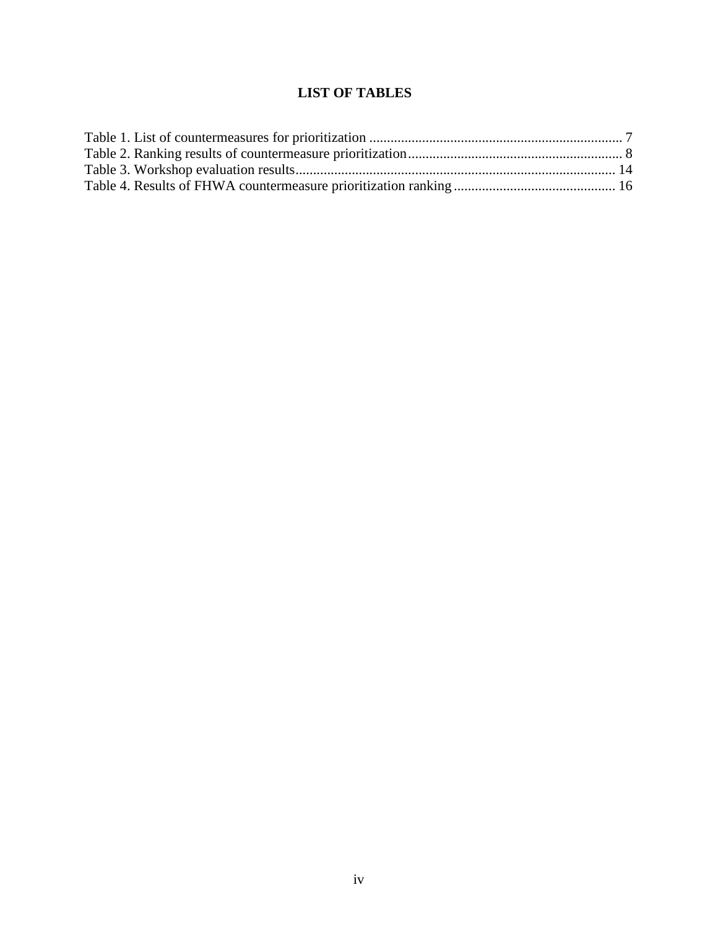# **LIST OF TABLES**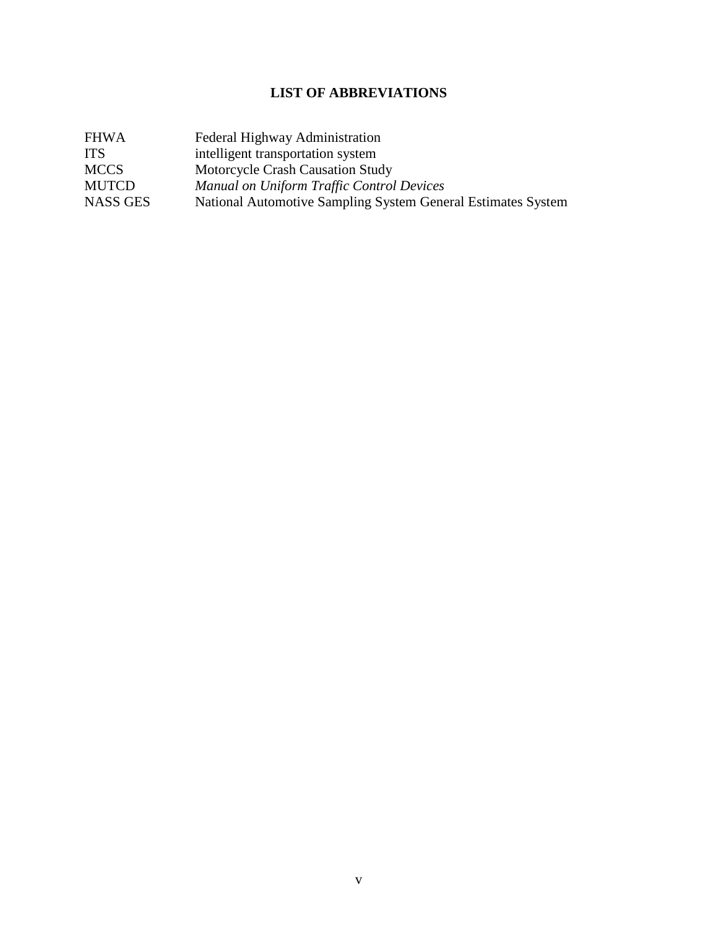# **LIST OF ABBREVIATIONS**

| <b>FHWA</b>     | Federal Highway Administration                               |
|-----------------|--------------------------------------------------------------|
| <b>ITS</b>      | intelligent transportation system                            |
| <b>MCCS</b>     | Motorcycle Crash Causation Study                             |
| <b>MUTCD</b>    | <b>Manual on Uniform Traffic Control Devices</b>             |
| <b>NASS GES</b> | National Automotive Sampling System General Estimates System |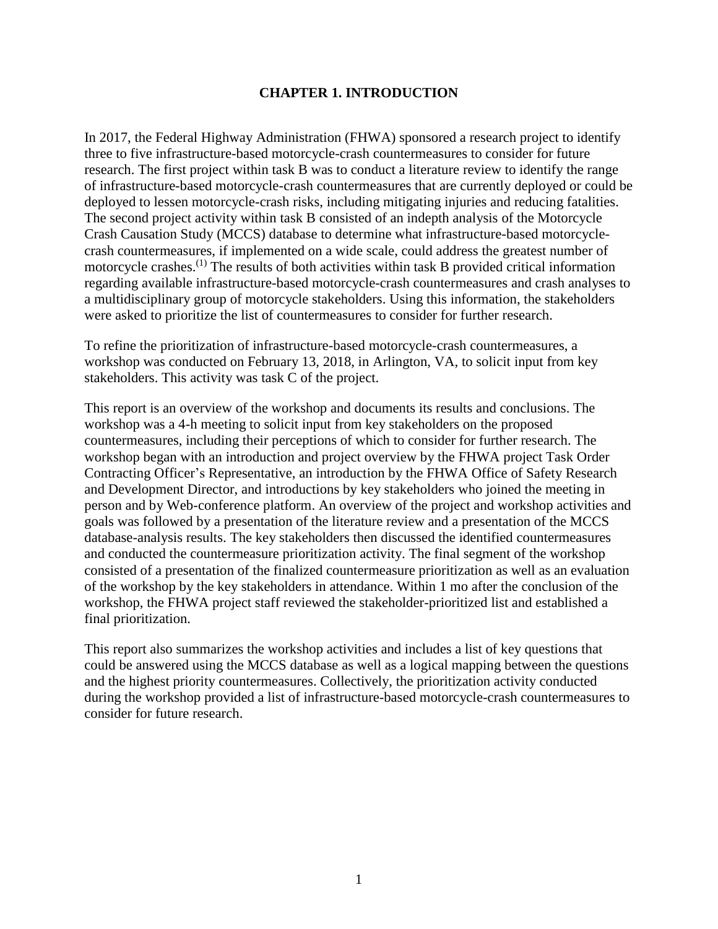#### **CHAPTER 1. INTRODUCTION**

<span id="page-8-0"></span>In 2017, the Federal Highway Administration (FHWA) sponsored a research project to identify three to five infrastructure-based motorcycle-crash countermeasures to consider for future research. The first project within task B was to conduct a literature review to identify the range of infrastructure-based motorcycle-crash countermeasures that are currently deployed or could be deployed to lessen motorcycle-crash risks, including mitigating injuries and reducing fatalities. The second project activity within task B consisted of an indepth analysis of the Motorcycle Crash Causation Study (MCCS) database to determine what infrastructure-based motorcyclecrash countermeasures, if implemented on a wide scale, could address the greatest number of motorcycle crashes.<sup>(1)</sup> The results of both activities within task B provided critical information regarding available infrastructure-based motorcycle-crash countermeasures and crash analyses to a multidisciplinary group of motorcycle stakeholders. Using this information, the stakeholders were asked to prioritize the list of countermeasures to consider for further research.

To refine the prioritization of infrastructure-based motorcycle-crash countermeasures, a workshop was conducted on February 13, 2018, in Arlington, VA, to solicit input from key stakeholders. This activity was task C of the project.

This report is an overview of the workshop and documents its results and conclusions. The workshop was a 4-h meeting to solicit input from key stakeholders on the proposed countermeasures, including their perceptions of which to consider for further research. The workshop began with an introduction and project overview by the FHWA project Task Order Contracting Officer's Representative, an introduction by the FHWA Office of Safety Research and Development Director, and introductions by key stakeholders who joined the meeting in person and by Web-conference platform. An overview of the project and workshop activities and goals was followed by a presentation of the literature review and a presentation of the MCCS database-analysis results. The key stakeholders then discussed the identified countermeasures and conducted the countermeasure prioritization activity. The final segment of the workshop consisted of a presentation of the finalized countermeasure prioritization as well as an evaluation of the workshop by the key stakeholders in attendance. Within 1 mo after the conclusion of the workshop, the FHWA project staff reviewed the stakeholder-prioritized list and established a final prioritization.

This report also summarizes the workshop activities and includes a list of key questions that could be answered using the MCCS database as well as a logical mapping between the questions and the highest priority countermeasures. Collectively, the prioritization activity conducted during the workshop provided a list of infrastructure-based motorcycle-crash countermeasures to consider for future research.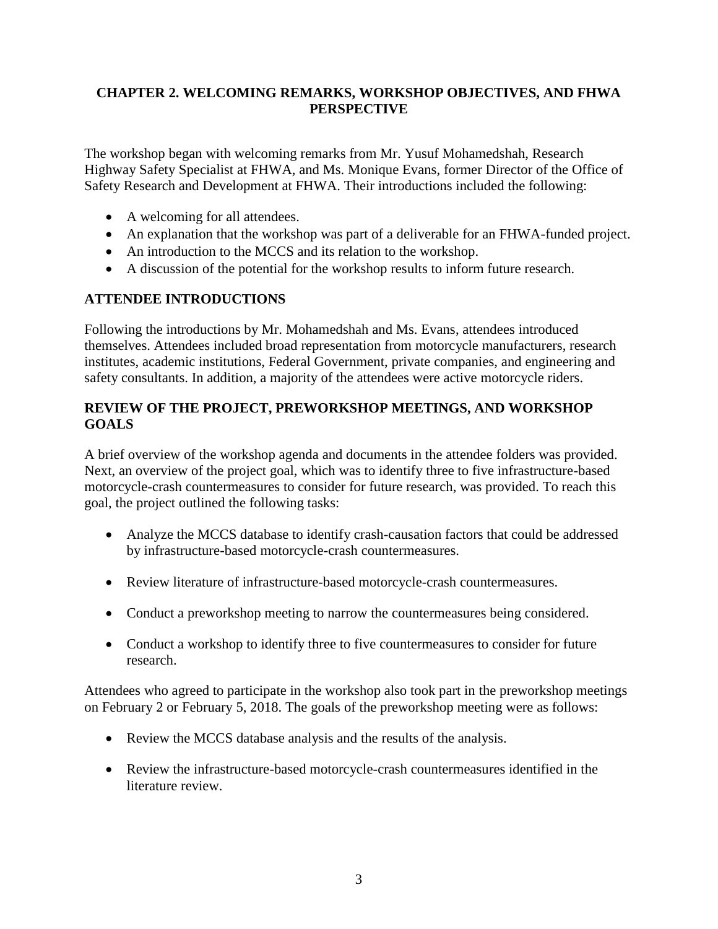## <span id="page-10-0"></span>**CHAPTER 2. WELCOMING REMARKS, WORKSHOP OBJECTIVES, AND FHWA PERSPECTIVE**

The workshop began with welcoming remarks from Mr. Yusuf Mohamedshah, Research Highway Safety Specialist at FHWA, and Ms. Monique Evans, former Director of the Office of Safety Research and Development at FHWA. Their introductions included the following:

- A welcoming for all attendees.
- An explanation that the workshop was part of a deliverable for an FHWA-funded project.
- An introduction to the MCCS and its relation to the workshop.
- A discussion of the potential for the workshop results to inform future research.

## <span id="page-10-1"></span>**ATTENDEE INTRODUCTIONS**

Following the introductions by Mr. Mohamedshah and Ms. Evans, attendees introduced themselves. Attendees included broad representation from motorcycle manufacturers, research institutes, academic institutions, Federal Government, private companies, and engineering and safety consultants. In addition, a majority of the attendees were active motorcycle riders.

## <span id="page-10-2"></span>**REVIEW OF THE PROJECT, PREWORKSHOP MEETINGS, AND WORKSHOP GOALS**

A brief overview of the workshop agenda and documents in the attendee folders was provided. Next, an overview of the project goal, which was to identify three to five infrastructure-based motorcycle-crash countermeasures to consider for future research, was provided. To reach this goal, the project outlined the following tasks:

- Analyze the MCCS database to identify crash-causation factors that could be addressed by infrastructure-based motorcycle-crash countermeasures.
- Review literature of infrastructure-based motorcycle-crash countermeasures.
- Conduct a preworkshop meeting to narrow the countermeasures being considered.
- Conduct a workshop to identify three to five countermeasures to consider for future research.

Attendees who agreed to participate in the workshop also took part in the preworkshop meetings on February 2 or February 5, 2018. The goals of the preworkshop meeting were as follows:

- Review the MCCS database analysis and the results of the analysis.
- Review the infrastructure-based motorcycle-crash countermeasures identified in the literature review.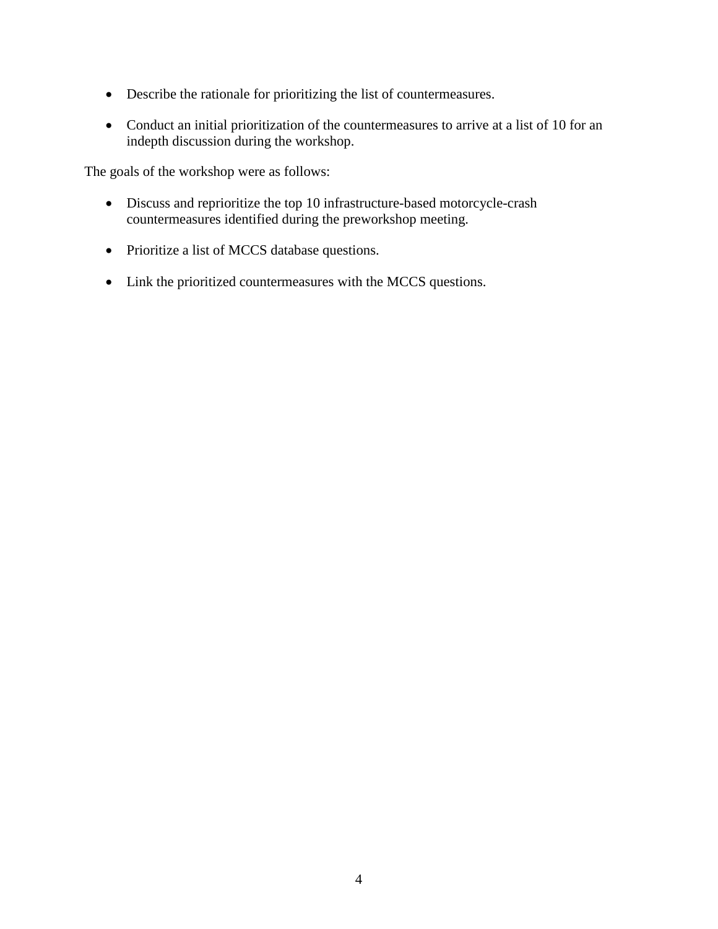- Describe the rationale for prioritizing the list of countermeasures.
- Conduct an initial prioritization of the countermeasures to arrive at a list of 10 for an indepth discussion during the workshop.

The goals of the workshop were as follows:

- Discuss and reprioritize the top 10 infrastructure-based motorcycle-crash countermeasures identified during the preworkshop meeting.
- Prioritize a list of MCCS database questions.
- Link the prioritized countermeasures with the MCCS questions.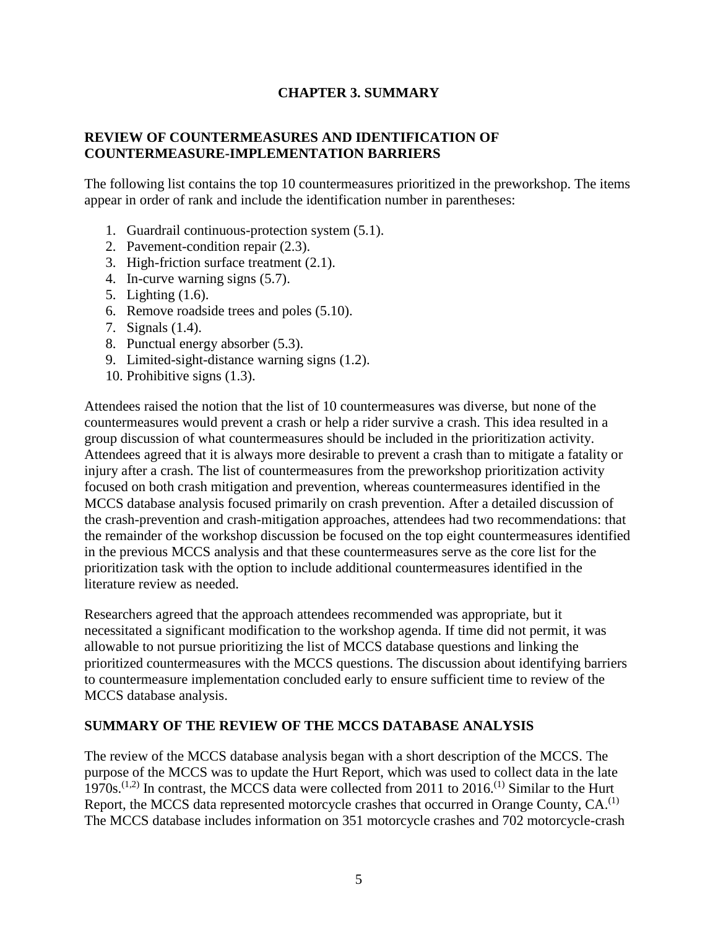#### **CHAPTER 3. SUMMARY**

#### <span id="page-12-1"></span><span id="page-12-0"></span>**REVIEW OF COUNTERMEASURES AND IDENTIFICATION OF COUNTERMEASURE-IMPLEMENTATION BARRIERS**

The following list contains the top 10 countermeasures prioritized in the preworkshop. The items appear in order of rank and include the identification number in parentheses:

- 1. Guardrail continuous-protection system (5.1).
- 2. Pavement-condition repair (2.3).
- 3. High-friction surface treatment (2.1).
- 4. In-curve warning signs (5.7).
- 5. Lighting (1.6).
- 6. Remove roadside trees and poles (5.10).
- 7. Signals (1.4).
- 8. Punctual energy absorber (5.3).
- 9. Limited-sight-distance warning signs (1.2).
- 10. Prohibitive signs (1.3).

Attendees raised the notion that the list of 10 countermeasures was diverse, but none of the countermeasures would prevent a crash or help a rider survive a crash. This idea resulted in a group discussion of what countermeasures should be included in the prioritization activity. Attendees agreed that it is always more desirable to prevent a crash than to mitigate a fatality or injury after a crash. The list of countermeasures from the preworkshop prioritization activity focused on both crash mitigation and prevention, whereas countermeasures identified in the MCCS database analysis focused primarily on crash prevention. After a detailed discussion of the crash-prevention and crash-mitigation approaches, attendees had two recommendations: that the remainder of the workshop discussion be focused on the top eight countermeasures identified in the previous MCCS analysis and that these countermeasures serve as the core list for the prioritization task with the option to include additional countermeasures identified in the literature review as needed.

Researchers agreed that the approach attendees recommended was appropriate, but it necessitated a significant modification to the workshop agenda. If time did not permit, it was allowable to not pursue prioritizing the list of MCCS database questions and linking the prioritized countermeasures with the MCCS questions. The discussion about identifying barriers to countermeasure implementation concluded early to ensure sufficient time to review of the MCCS database analysis.

#### <span id="page-12-2"></span>**SUMMARY OF THE REVIEW OF THE MCCS DATABASE ANALYSIS**

The review of the MCCS database analysis began with a short description of the MCCS. The purpose of the MCCS was to update the Hurt Report, which was used to collect data in the late 1970s.<sup> $(1,2)$ </sup> In contrast, the MCCS data were collected from 2011 to 2016.<sup>(1)</sup> Similar to the Hurt Report, the MCCS data represented motorcycle crashes that occurred in Orange County,  $CA<sup>(1)</sup>$ The MCCS database includes information on 351 motorcycle crashes and 702 motorcycle-crash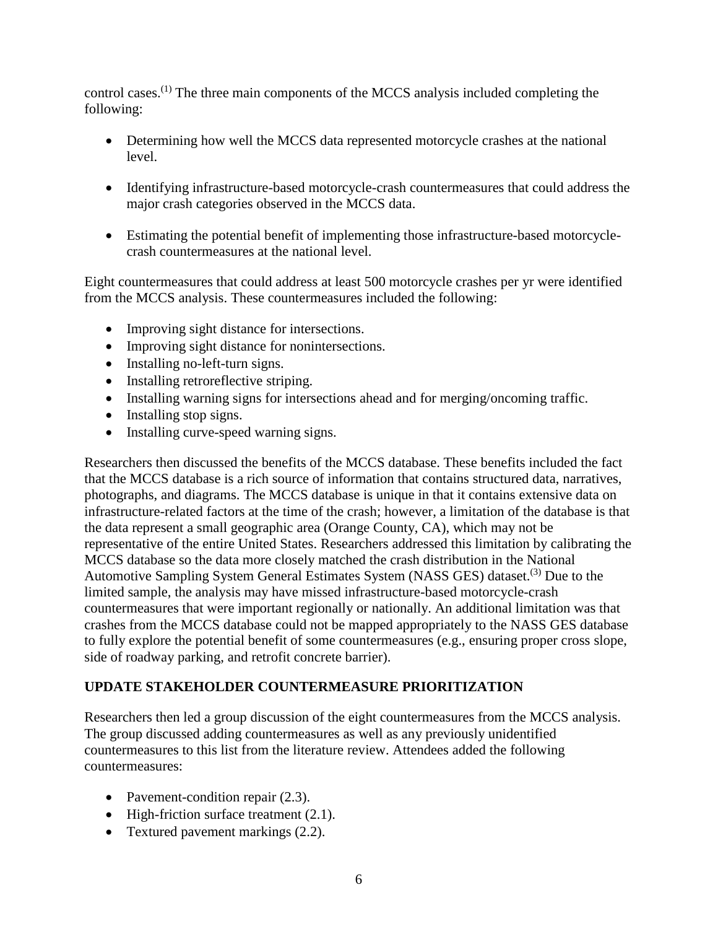control cases.(1) The three main components of the MCCS analysis included completing the following:

- Determining how well the MCCS data represented motorcycle crashes at the national level.
- Identifying infrastructure-based motorcycle-crash countermeasures that could address the major crash categories observed in the MCCS data.
- Estimating the potential benefit of implementing those infrastructure-based motorcyclecrash countermeasures at the national level.

Eight countermeasures that could address at least 500 motorcycle crashes per yr were identified from the MCCS analysis. These countermeasures included the following:

- Improving sight distance for intersections.
- Improving sight distance for nonintersections.
- Installing no-left-turn signs.
- Installing retroreflective striping.
- Installing warning signs for intersections ahead and for merging/oncoming traffic.
- Installing stop signs.
- Installing curve-speed warning signs.

Researchers then discussed the benefits of the MCCS database. These benefits included the fact that the MCCS database is a rich source of information that contains structured data, narratives, photographs, and diagrams. The MCCS database is unique in that it contains extensive data on infrastructure-related factors at the time of the crash; however, a limitation of the database is that the data represent a small geographic area (Orange County, CA), which may not be representative of the entire United States. Researchers addressed this limitation by calibrating the MCCS database so the data more closely matched the crash distribution in the National Automotive Sampling System General Estimates System (NASS GES) dataset.<sup>(3)</sup> Due to the limited sample, the analysis may have missed infrastructure-based motorcycle-crash countermeasures that were important regionally or nationally. An additional limitation was that crashes from the MCCS database could not be mapped appropriately to the NASS GES database to fully explore the potential benefit of some countermeasures (e.g., ensuring proper cross slope, side of roadway parking, and retrofit concrete barrier).

## <span id="page-13-0"></span>**UPDATE STAKEHOLDER COUNTERMEASURE PRIORITIZATION**

Researchers then led a group discussion of the eight countermeasures from the MCCS analysis. The group discussed adding countermeasures as well as any previously unidentified countermeasures to this list from the literature review. Attendees added the following countermeasures:

- Pavement-condition repair  $(2.3)$ .
- High-friction surface treatment (2.1).
- Textured pavement markings  $(2.2)$ .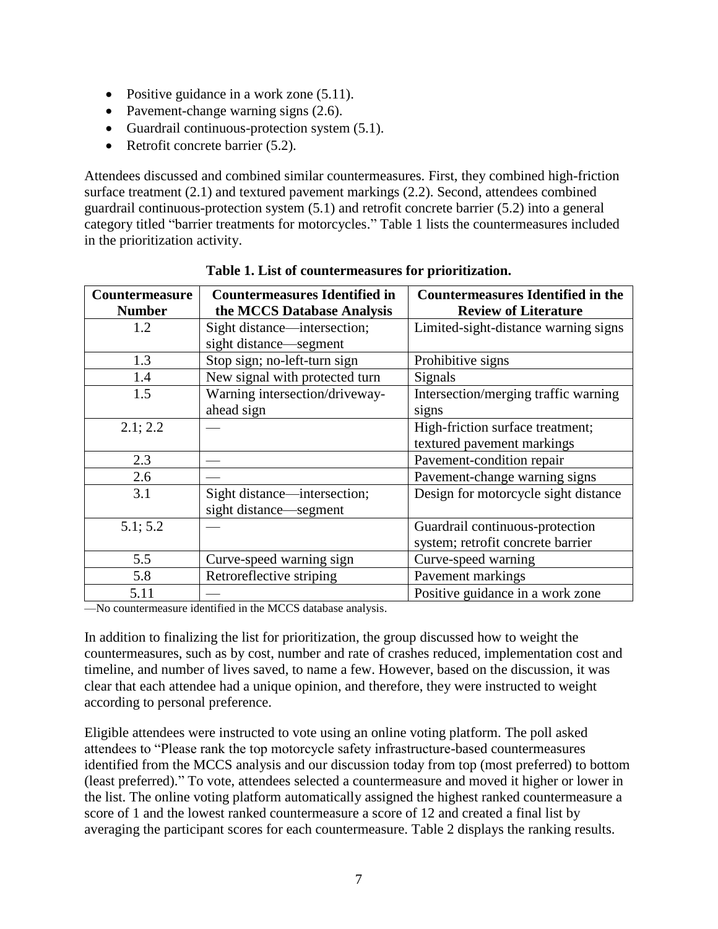- Positive guidance in a work zone (5.11).
- Pavement-change warning signs  $(2.6)$ .
- Guardrail continuous-protection system  $(5.1)$ .
- Retrofit concrete barrier (5.2).

Attendees discussed and combined similar countermeasures. First, they combined high-friction surface treatment (2.1) and textured pavement markings (2.2). Second, attendees combined guardrail continuous-protection system (5.1) and retrofit concrete barrier (5.2) into a general category titled "barrier treatments for motorcycles." [Table 1](#page-14-0) lists the countermeasures included in the prioritization activity.

<span id="page-14-0"></span>

| <b>Countermeasure</b> | <b>Countermeasures Identified in</b> | <b>Countermeasures Identified in the</b> |  |
|-----------------------|--------------------------------------|------------------------------------------|--|
| <b>Number</b>         | the MCCS Database Analysis           | <b>Review of Literature</b>              |  |
| 1.2                   | Sight distance—intersection;         | Limited-sight-distance warning signs     |  |
|                       | sight distance—segment               |                                          |  |
| 1.3                   | Stop sign; no-left-turn sign         | Prohibitive signs                        |  |
| 1.4                   | New signal with protected turn       | Signals                                  |  |
| 1.5                   | Warning intersection/driveway-       | Intersection/merging traffic warning     |  |
|                       | ahead sign                           | signs                                    |  |
| 2.1; 2.2              |                                      | High-friction surface treatment;         |  |
|                       |                                      | textured pavement markings               |  |
| 2.3                   |                                      | Pavement-condition repair                |  |
| 2.6                   |                                      | Pavement-change warning signs            |  |
| 3.1                   | Sight distance—intersection;         | Design for motorcycle sight distance     |  |
|                       | sight distance—segment               |                                          |  |
| 5.1; 5.2              |                                      | Guardrail continuous-protection          |  |
|                       |                                      | system; retrofit concrete barrier        |  |
| 5.5                   | Curve-speed warning sign             | Curve-speed warning                      |  |
| 5.8                   | Retroreflective striping             | Pavement markings                        |  |
| 5.11                  |                                      | Positive guidance in a work zone         |  |

**Table 1. List of countermeasures for prioritization.**

—No countermeasure identified in the MCCS database analysis.

In addition to finalizing the list for prioritization, the group discussed how to weight the countermeasures, such as by cost, number and rate of crashes reduced, implementation cost and timeline, and number of lives saved, to name a few. However, based on the discussion, it was clear that each attendee had a unique opinion, and therefore, they were instructed to weight according to personal preference.

Eligible attendees were instructed to vote using an online voting platform. The poll asked attendees to "Please rank the top motorcycle safety infrastructure-based countermeasures identified from the MCCS analysis and our discussion today from top (most preferred) to bottom (least preferred)." To vote, attendees selected a countermeasure and moved it higher or lower in the list. The online voting platform automatically assigned the highest ranked countermeasure a score of 1 and the lowest ranked countermeasure a score of 12 and created a final list by averaging the participant scores for each countermeasure. [Table 2](#page-15-0) displays the ranking results.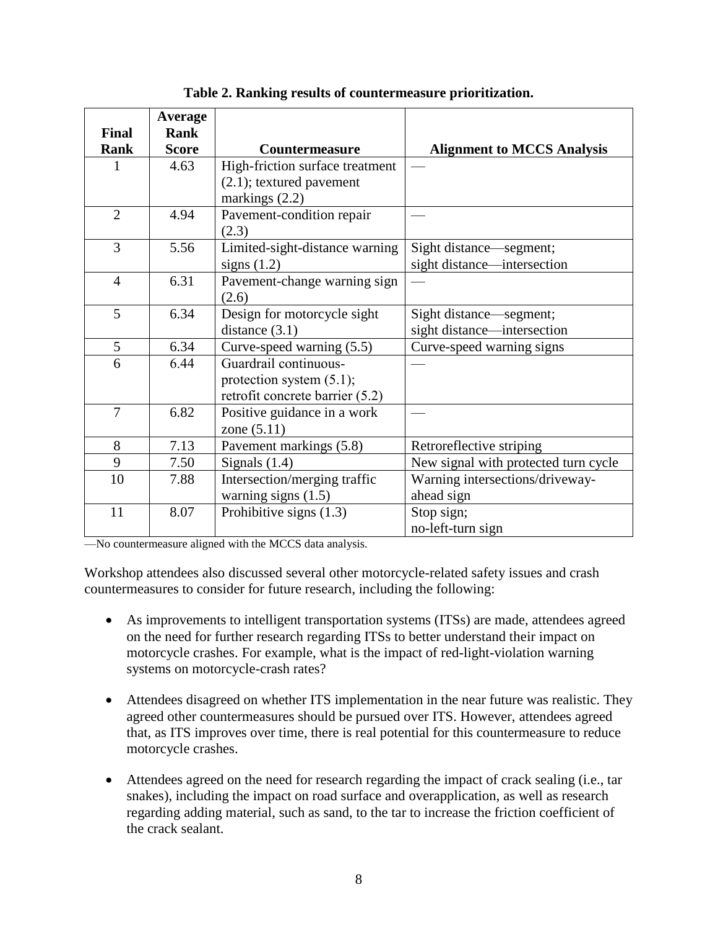<span id="page-15-0"></span>

|                             | <b>Average</b>              |                                 |                                      |
|-----------------------------|-----------------------------|---------------------------------|--------------------------------------|
| <b>Final</b><br><b>Rank</b> | <b>Rank</b><br><b>Score</b> | <b>Countermeasure</b>           | <b>Alignment to MCCS Analysis</b>    |
| 1                           | 4.63                        | High-friction surface treatment |                                      |
|                             |                             | $(2.1)$ ; textured pavement     |                                      |
|                             |                             | markings $(2.2)$                |                                      |
| $\overline{2}$              | 4.94                        | Pavement-condition repair       |                                      |
|                             |                             | (2.3)                           |                                      |
| 3                           | 5.56                        | Limited-sight-distance warning  | Sight distance-segment;              |
|                             |                             | signs $(1.2)$                   | sight distance—intersection          |
| $\overline{4}$              | 6.31                        | Pavement-change warning sign    |                                      |
|                             |                             | (2.6)                           |                                      |
| 5                           | 6.34                        | Design for motorcycle sight     | Sight distance—segment;              |
|                             |                             | distance $(3.1)$                | sight distance—intersection          |
| 5                           | 6.34                        | Curve-speed warning (5.5)       | Curve-speed warning signs            |
| 6                           | 6.44                        | Guardrail continuous-           |                                      |
|                             |                             | protection system $(5.1)$ ;     |                                      |
|                             |                             | retrofit concrete barrier (5.2) |                                      |
| 7                           | 6.82                        | Positive guidance in a work     |                                      |
|                             |                             | zone $(5.11)$                   |                                      |
| 8                           | 7.13                        | Pavement markings (5.8)         | Retroreflective striping             |
| 9                           | 7.50                        | Signals $(1.4)$                 | New signal with protected turn cycle |
| 10                          | 7.88                        | Intersection/merging traffic    | Warning intersections/driveway-      |
|                             |                             | warning signs $(1.5)$           | ahead sign                           |
| 11                          | 8.07                        | Prohibitive signs $(1.3)$       | Stop sign;                           |
|                             |                             |                                 | no-left-turn sign                    |

**Table 2. Ranking results of countermeasure prioritization.**

—No countermeasure aligned with the MCCS data analysis.

Workshop attendees also discussed several other motorcycle-related safety issues and crash countermeasures to consider for future research, including the following:

- As improvements to intelligent transportation systems (ITSs) are made, attendees agreed on the need for further research regarding ITSs to better understand their impact on motorcycle crashes. For example, what is the impact of red-light-violation warning systems on motorcycle-crash rates?
- Attendees disagreed on whether ITS implementation in the near future was realistic. They agreed other countermeasures should be pursued over ITS. However, attendees agreed that, as ITS improves over time, there is real potential for this countermeasure to reduce motorcycle crashes.
- Attendees agreed on the need for research regarding the impact of crack sealing (i.e., tar snakes), including the impact on road surface and overapplication, as well as research regarding adding material, such as sand, to the tar to increase the friction coefficient of the crack sealant.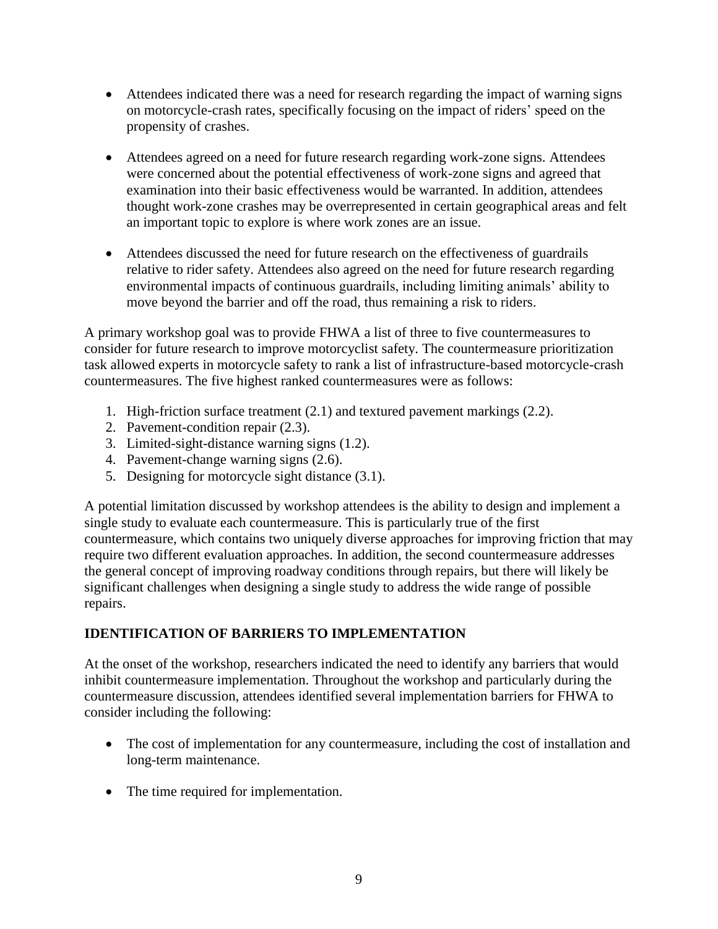- Attendees indicated there was a need for research regarding the impact of warning signs on motorcycle-crash rates, specifically focusing on the impact of riders' speed on the propensity of crashes.
- Attendees agreed on a need for future research regarding work-zone signs. Attendees were concerned about the potential effectiveness of work-zone signs and agreed that examination into their basic effectiveness would be warranted. In addition, attendees thought work-zone crashes may be overrepresented in certain geographical areas and felt an important topic to explore is where work zones are an issue.
- Attendees discussed the need for future research on the effectiveness of guardrails relative to rider safety. Attendees also agreed on the need for future research regarding environmental impacts of continuous guardrails, including limiting animals' ability to move beyond the barrier and off the road, thus remaining a risk to riders.

A primary workshop goal was to provide FHWA a list of three to five countermeasures to consider for future research to improve motorcyclist safety. The countermeasure prioritization task allowed experts in motorcycle safety to rank a list of infrastructure-based motorcycle-crash countermeasures. The five highest ranked countermeasures were as follows:

- 1. High-friction surface treatment (2.1) and textured pavement markings (2.2).
- 2. Pavement-condition repair (2.3).
- 3. Limited-sight-distance warning signs (1.2).
- 4. Pavement-change warning signs (2.6).
- 5. Designing for motorcycle sight distance (3.1).

A potential limitation discussed by workshop attendees is the ability to design and implement a single study to evaluate each countermeasure. This is particularly true of the first countermeasure, which contains two uniquely diverse approaches for improving friction that may require two different evaluation approaches. In addition, the second countermeasure addresses the general concept of improving roadway conditions through repairs, but there will likely be significant challenges when designing a single study to address the wide range of possible repairs.

## <span id="page-16-0"></span>**IDENTIFICATION OF BARRIERS TO IMPLEMENTATION**

At the onset of the workshop, researchers indicated the need to identify any barriers that would inhibit countermeasure implementation. Throughout the workshop and particularly during the countermeasure discussion, attendees identified several implementation barriers for FHWA to consider including the following:

- The cost of implementation for any countermeasure, including the cost of installation and long-term maintenance.
- The time required for implementation.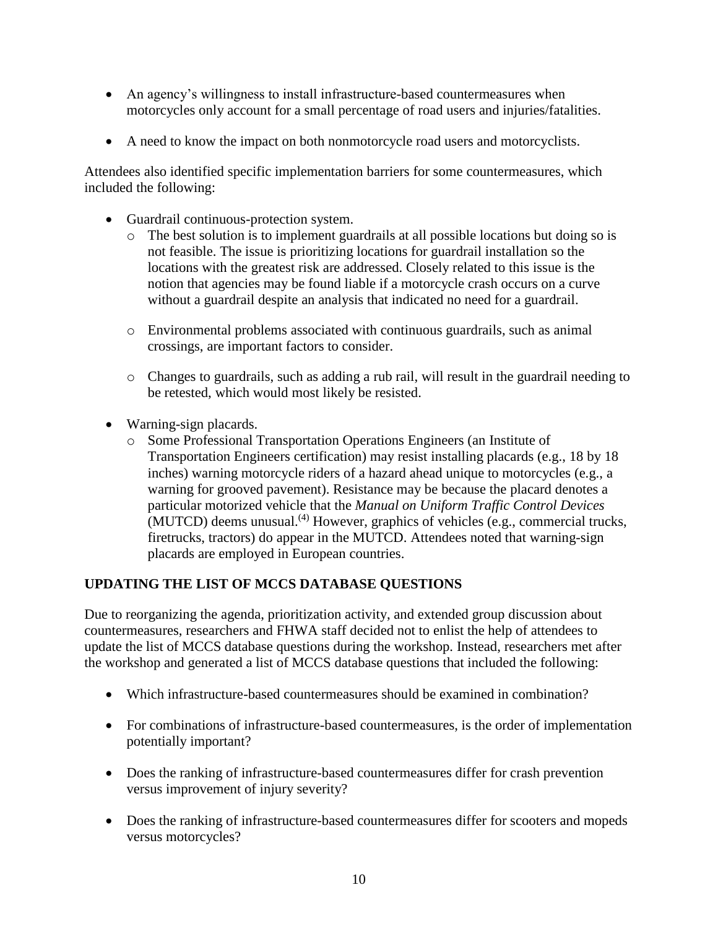- An agency's willingness to install infrastructure-based countermeasures when motorcycles only account for a small percentage of road users and injuries/fatalities.
- A need to know the impact on both nonmotorcycle road users and motorcyclists.

Attendees also identified specific implementation barriers for some countermeasures, which included the following:

- Guardrail continuous-protection system.
	- o The best solution is to implement guardrails at all possible locations but doing so is not feasible. The issue is prioritizing locations for guardrail installation so the locations with the greatest risk are addressed. Closely related to this issue is the notion that agencies may be found liable if a motorcycle crash occurs on a curve without a guardrail despite an analysis that indicated no need for a guardrail.
	- o Environmental problems associated with continuous guardrails, such as animal crossings, are important factors to consider.
	- o Changes to guardrails, such as adding a rub rail, will result in the guardrail needing to be retested, which would most likely be resisted.
- Warning-sign placards.
	- o Some Professional Transportation Operations Engineers (an Institute of Transportation Engineers certification) may resist installing placards (e.g., 18 by 18 inches) warning motorcycle riders of a hazard ahead unique to motorcycles (e.g., a warning for grooved pavement). Resistance may be because the placard denotes a particular motorized vehicle that the *Manual on Uniform Traffic Control Devices*  $(MUTCD)$  deems unusual.<sup>(4)</sup> However, graphics of vehicles (e.g., commercial trucks, firetrucks, tractors) do appear in the MUTCD. Attendees noted that warning-sign placards are employed in European countries.

## <span id="page-17-0"></span>**UPDATING THE LIST OF MCCS DATABASE QUESTIONS**

Due to reorganizing the agenda, prioritization activity, and extended group discussion about countermeasures, researchers and FHWA staff decided not to enlist the help of attendees to update the list of MCCS database questions during the workshop. Instead, researchers met after the workshop and generated a list of MCCS database questions that included the following:

- Which infrastructure-based countermeasures should be examined in combination?
- For combinations of infrastructure-based countermeasures, is the order of implementation potentially important?
- Does the ranking of infrastructure-based countermeasures differ for crash prevention versus improvement of injury severity?
- Does the ranking of infrastructure-based countermeasures differ for scooters and mopeds versus motorcycles?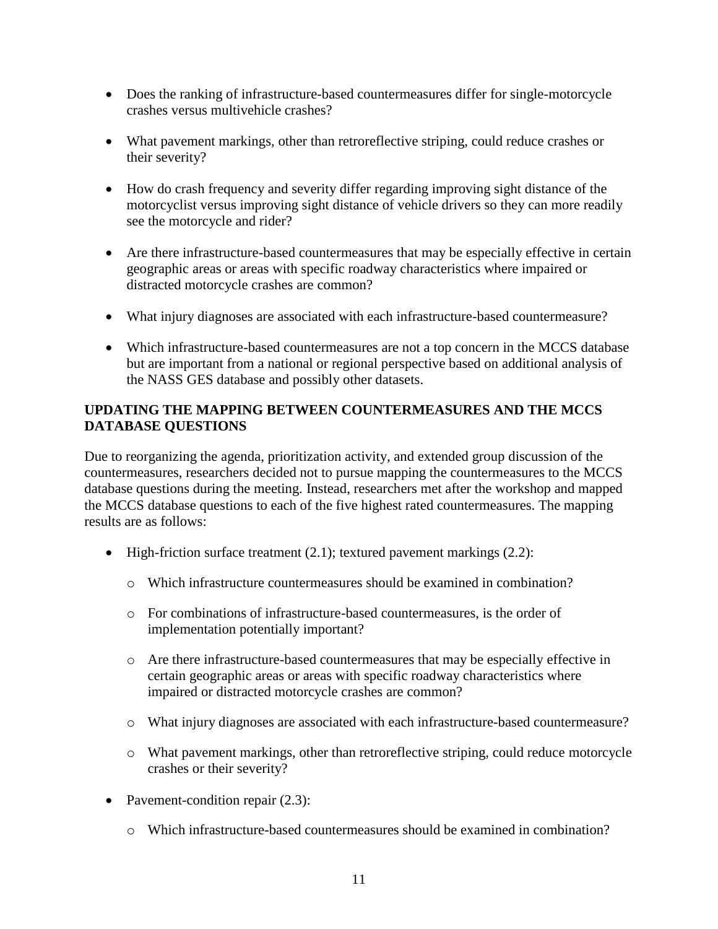- Does the ranking of infrastructure-based countermeasures differ for single-motorcycle crashes versus multivehicle crashes?
- What pavement markings, other than retroreflective striping, could reduce crashes or their severity?
- How do crash frequency and severity differ regarding improving sight distance of the motorcyclist versus improving sight distance of vehicle drivers so they can more readily see the motorcycle and rider?
- Are there infrastructure-based countermeasures that may be especially effective in certain geographic areas or areas with specific roadway characteristics where impaired or distracted motorcycle crashes are common?
- What injury diagnoses are associated with each infrastructure-based countermeasure?
- Which infrastructure-based countermeasures are not a top concern in the MCCS database but are important from a national or regional perspective based on additional analysis of the NASS GES database and possibly other datasets.

## <span id="page-18-0"></span>**UPDATING THE MAPPING BETWEEN COUNTERMEASURES AND THE MCCS DATABASE QUESTIONS**

Due to reorganizing the agenda, prioritization activity, and extended group discussion of the countermeasures, researchers decided not to pursue mapping the countermeasures to the MCCS database questions during the meeting. Instead, researchers met after the workshop and mapped the MCCS database questions to each of the five highest rated countermeasures. The mapping results are as follows:

- High-friction surface treatment (2.1); textured pavement markings (2.2):
	- $\circ$  Which infrastructure countermeasures should be examined in combination?
	- o For combinations of infrastructure-based countermeasures, is the order of implementation potentially important?
	- o Are there infrastructure-based countermeasures that may be especially effective in certain geographic areas or areas with specific roadway characteristics where impaired or distracted motorcycle crashes are common?
	- o What injury diagnoses are associated with each infrastructure-based countermeasure?
	- o What pavement markings, other than retroreflective striping, could reduce motorcycle crashes or their severity?
- Pavement-condition repair  $(2.3)$ :
	- o Which infrastructure-based countermeasures should be examined in combination?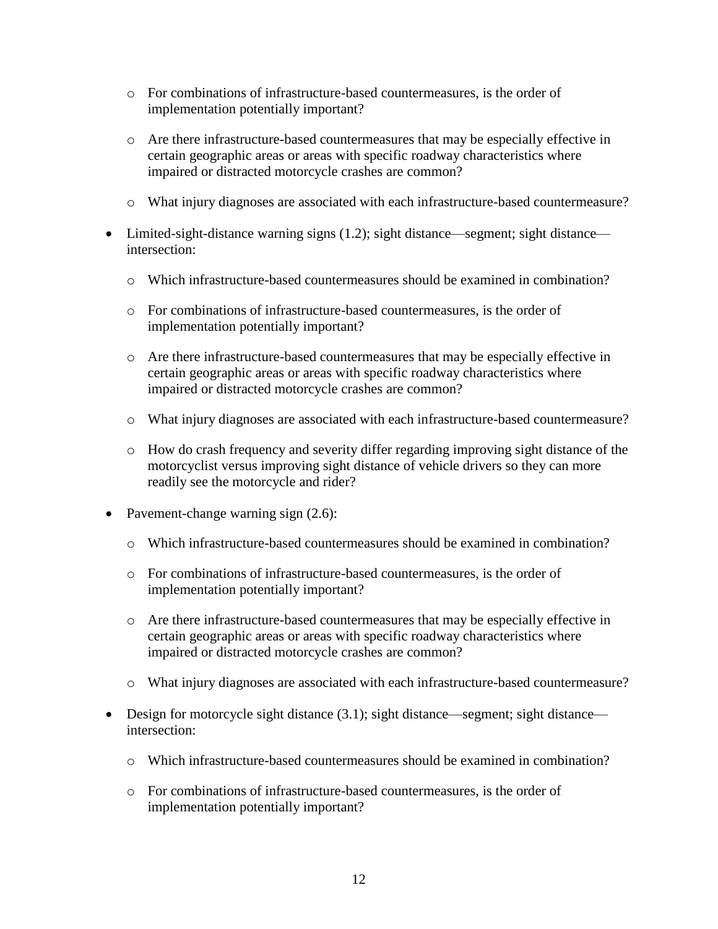- o For combinations of infrastructure-based countermeasures, is the order of implementation potentially important?
- o Are there infrastructure-based countermeasures that may be especially effective in certain geographic areas or areas with specific roadway characteristics where impaired or distracted motorcycle crashes are common?
- o What injury diagnoses are associated with each infrastructure-based countermeasure?
- Limited-sight-distance warning signs (1.2); sight distance—segment; sight distance intersection:
	- $\circ$  Which infrastructure-based countermeasures should be examined in combination?
	- o For combinations of infrastructure-based countermeasures, is the order of implementation potentially important?
	- o Are there infrastructure-based countermeasures that may be especially effective in certain geographic areas or areas with specific roadway characteristics where impaired or distracted motorcycle crashes are common?
	- o What injury diagnoses are associated with each infrastructure-based countermeasure?
	- o How do crash frequency and severity differ regarding improving sight distance of the motorcyclist versus improving sight distance of vehicle drivers so they can more readily see the motorcycle and rider?
- Pavement-change warning sign  $(2.6)$ :
	- o Which infrastructure-based countermeasures should be examined in combination?
	- o For combinations of infrastructure-based countermeasures, is the order of implementation potentially important?
	- o Are there infrastructure-based countermeasures that may be especially effective in certain geographic areas or areas with specific roadway characteristics where impaired or distracted motorcycle crashes are common?
	- o What injury diagnoses are associated with each infrastructure-based countermeasure?
- Design for motorcycle sight distance (3.1); sight distance—segment; sight distance intersection:
	- o Which infrastructure-based countermeasures should be examined in combination?
	- o For combinations of infrastructure-based countermeasures, is the order of implementation potentially important?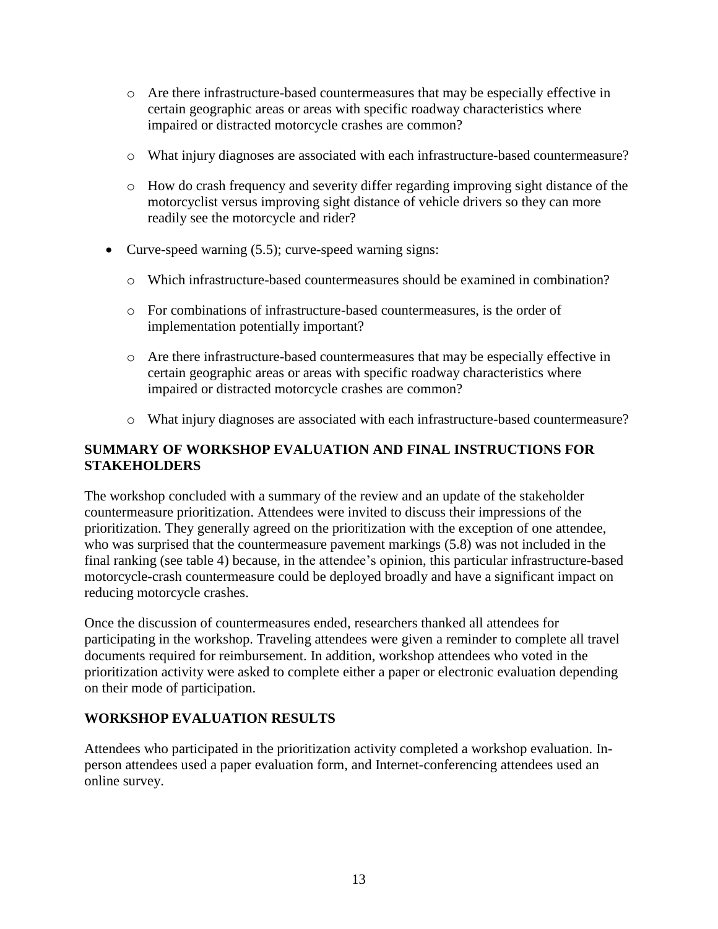- o Are there infrastructure-based countermeasures that may be especially effective in certain geographic areas or areas with specific roadway characteristics where impaired or distracted motorcycle crashes are common?
- o What injury diagnoses are associated with each infrastructure-based countermeasure?
- o How do crash frequency and severity differ regarding improving sight distance of the motorcyclist versus improving sight distance of vehicle drivers so they can more readily see the motorcycle and rider?
- Curve-speed warning (5.5); curve-speed warning signs:
	- $\circ$  Which infrastructure-based countermeasures should be examined in combination?
	- o For combinations of infrastructure-based countermeasures, is the order of implementation potentially important?
	- o Are there infrastructure-based countermeasures that may be especially effective in certain geographic areas or areas with specific roadway characteristics where impaired or distracted motorcycle crashes are common?
	- o What injury diagnoses are associated with each infrastructure-based countermeasure?

## <span id="page-20-0"></span>**SUMMARY OF WORKSHOP EVALUATION AND FINAL INSTRUCTIONS FOR STAKEHOLDERS**

The workshop concluded with a summary of the review and an update of the stakeholder countermeasure prioritization. Attendees were invited to discuss their impressions of the prioritization. They generally agreed on the prioritization with the exception of one attendee, who was surprised that the countermeasure pavement markings (5.8) was not included in the final ranking (see [table 4\)](#page-23-0) because, in the attendee's opinion, this particular infrastructure-based motorcycle-crash countermeasure could be deployed broadly and have a significant impact on reducing motorcycle crashes.

Once the discussion of countermeasures ended, researchers thanked all attendees for participating in the workshop. Traveling attendees were given a reminder to complete all travel documents required for reimbursement. In addition, workshop attendees who voted in the prioritization activity were asked to complete either a paper or electronic evaluation depending on their mode of participation.

#### <span id="page-20-1"></span>**WORKSHOP EVALUATION RESULTS**

Attendees who participated in the prioritization activity completed a workshop evaluation. Inperson attendees used a paper evaluation form, and Internet-conferencing attendees used an online survey.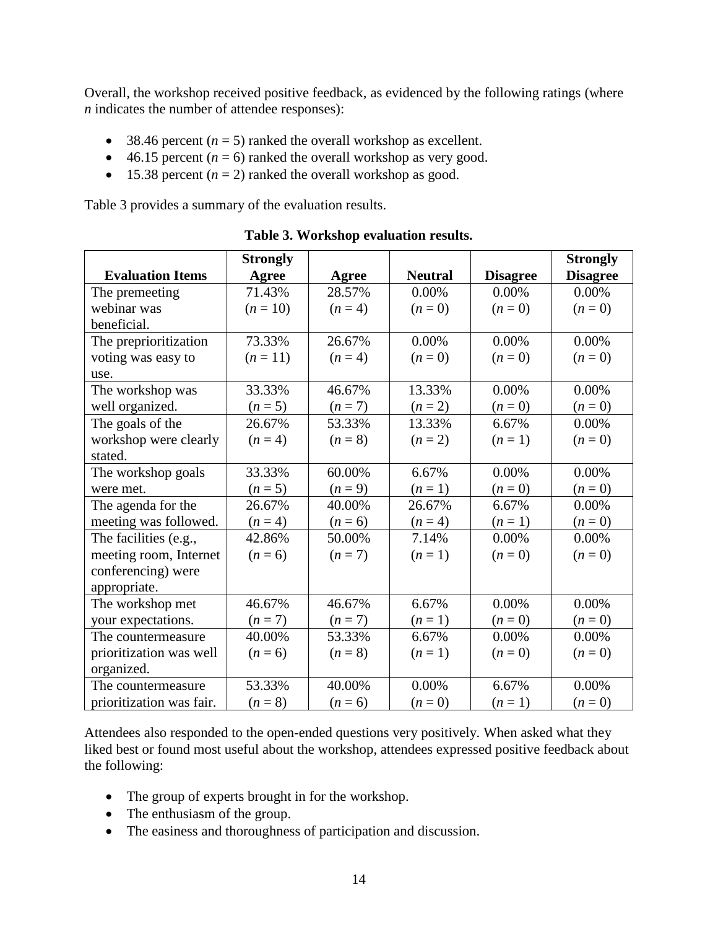Overall, the workshop received positive feedback, as evidenced by the following ratings (where *n* indicates the number of attendee responses):

- 38.46 percent  $(n = 5)$  ranked the overall workshop as excellent.
- $\bullet$  46.15 percent ( $n = 6$ ) ranked the overall workshop as very good.
- 15.38 percent  $(n = 2)$  ranked the overall workshop as good.

[Table 3](#page-21-0) provides a summary of the evaluation results.

<span id="page-21-0"></span>

|                          | <b>Strongly</b> |           |                |                 | <b>Strongly</b> |
|--------------------------|-----------------|-----------|----------------|-----------------|-----------------|
| <b>Evaluation Items</b>  | Agree           | Agree     | <b>Neutral</b> | <b>Disagree</b> | <b>Disagree</b> |
| The premeeting           | 71.43%          | 28.57%    | $0.00\%$       | $0.00\%$        | 0.00%           |
| webinar was              | $(n = 10)$      | $(n=4)$   | $(n=0)$        | $(n=0)$         | $(n=0)$         |
| beneficial.              |                 |           |                |                 |                 |
| The preprioritization    | 73.33%          | 26.67%    | $0.00\%$       | $0.00\%$        | $0.00\%$        |
| voting was easy to       | $(n=11)$        | $(n=4)$   | $(n = 0)$      | $(n = 0)$       | $(n = 0)$       |
| use.                     |                 |           |                |                 |                 |
| The workshop was         | 33.33%          | 46.67%    | 13.33%         | 0.00%           | 0.00%           |
| well organized.          | $(n=5)$         | $(n=7)$   | $(n = 2)$      | $(n = 0)$       | $(n = 0)$       |
| The goals of the         | 26.67%          | 53.33%    | 13.33%         | 6.67%           | $0.00\%$        |
| workshop were clearly    | $(n=4)$         | $(n = 8)$ | $(n = 2)$      | $(n=1)$         | $(n=0)$         |
| stated.                  |                 |           |                |                 |                 |
| The workshop goals       | 33.33%          | 60.00%    | 6.67%          | $0.00\%$        | $0.00\%$        |
| were met.                | $(n=5)$         | $(n = 9)$ | $(n=1)$        | $(n = 0)$       | $(n = 0)$       |
| The agenda for the       | 26.67%          | 40.00%    | 26.67%         | 6.67%           | 0.00%           |
| meeting was followed.    | $(n=4)$         | $(n = 6)$ | $(n = 4)$      | $(n=1)$         | $(n = 0)$       |
| The facilities (e.g.,    | 42.86%          | 50.00%    | 7.14%          | $0.00\%$        | $0.00\%$        |
| meeting room, Internet   | $(n = 6)$       | $(n=7)$   | $(n=1)$        | $(n=0)$         | $(n=0)$         |
| conferencing) were       |                 |           |                |                 |                 |
| appropriate.             |                 |           |                |                 |                 |
| The workshop met         | 46.67%          | 46.67%    | 6.67%          | $0.00\%$        | 0.00%           |
| your expectations.       | $(n=7)$         | $(n=7)$   | $(n=1)$        | $(n = 0)$       | $(n = 0)$       |
| The countermeasure       | 40.00%          | 53.33%    | 6.67%          | $0.00\%$        | 0.00%           |
| prioritization was well  | $(n = 6)$       | $(n = 8)$ | $(n=1)$        | $(n=0)$         | $(n=0)$         |
| organized.               |                 |           |                |                 |                 |
| The countermeasure       | 53.33%          | 40.00%    | $0.00\%$       | 6.67%           | $0.00\%$        |
| prioritization was fair. | $(n = 8)$       | $(n = 6)$ | $(n=0)$        | $(n=1)$         | $(n=0)$         |

**Table 3. Workshop evaluation results.**

Attendees also responded to the open-ended questions very positively. When asked what they liked best or found most useful about the workshop, attendees expressed positive feedback about the following:

- The group of experts brought in for the workshop.
- The enthusiasm of the group.
- The easiness and thoroughness of participation and discussion.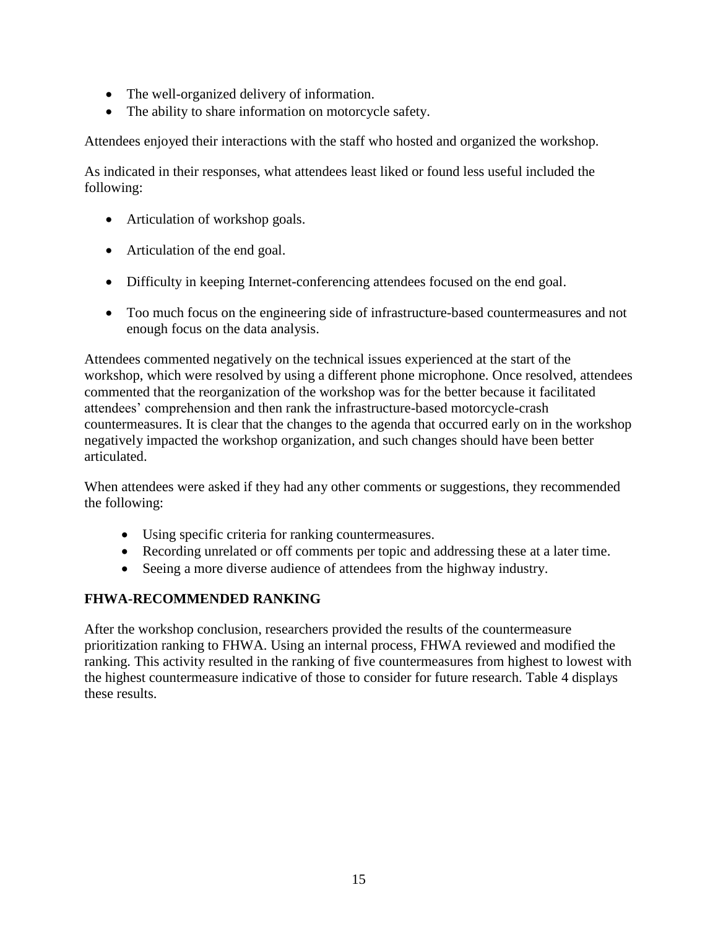- The well-organized delivery of information.
- The ability to share information on motorcycle safety.

Attendees enjoyed their interactions with the staff who hosted and organized the workshop.

As indicated in their responses, what attendees least liked or found less useful included the following:

- Articulation of workshop goals.
- Articulation of the end goal.
- Difficulty in keeping Internet-conferencing attendees focused on the end goal.
- Too much focus on the engineering side of infrastructure-based countermeasures and not enough focus on the data analysis.

Attendees commented negatively on the technical issues experienced at the start of the workshop, which were resolved by using a different phone microphone. Once resolved, attendees commented that the reorganization of the workshop was for the better because it facilitated attendees' comprehension and then rank the infrastructure-based motorcycle-crash countermeasures. It is clear that the changes to the agenda that occurred early on in the workshop negatively impacted the workshop organization, and such changes should have been better articulated.

When attendees were asked if they had any other comments or suggestions, they recommended the following:

- Using specific criteria for ranking countermeasures.
- Recording unrelated or off comments per topic and addressing these at a later time.
- Seeing a more diverse audience of attendees from the highway industry.

#### <span id="page-22-0"></span>**FHWA-RECOMMENDED RANKING**

After the workshop conclusion, researchers provided the results of the countermeasure prioritization ranking to FHWA. Using an internal process, FHWA reviewed and modified the ranking. This activity resulted in the ranking of five countermeasures from highest to lowest with the highest countermeasure indicative of those to consider for future research. [Table 4](#page-23-0) displays these results.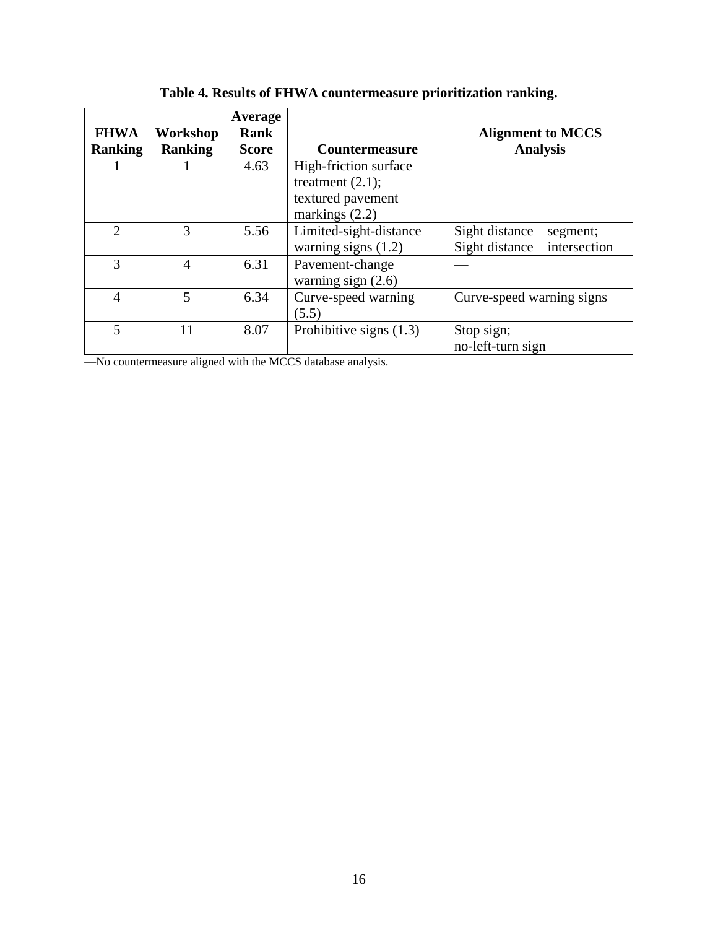<span id="page-23-0"></span>

| <b>FHWA</b><br><b>Ranking</b> | Workshop<br><b>Ranking</b> | Average<br><b>Rank</b><br><b>Score</b> | <b>Countermeasure</b>                                                                 | <b>Alignment to MCCS</b><br><b>Analysis</b>            |
|-------------------------------|----------------------------|----------------------------------------|---------------------------------------------------------------------------------------|--------------------------------------------------------|
|                               |                            | 4.63                                   | High-friction surface<br>treatment $(2.1)$ ;<br>textured pavement<br>markings $(2.2)$ |                                                        |
| $\mathfrak{D}$                | 3                          | 5.56                                   | Limited-sight-distance<br>warning signs $(1.2)$                                       | Sight distance—segment;<br>Sight distance—intersection |
| 3                             | 4                          | 6.31                                   | Pavement-change<br>warning sign $(2.6)$                                               |                                                        |
| $\overline{4}$                | 5                          | 6.34                                   | Curve-speed warning<br>(5.5)                                                          | Curve-speed warning signs                              |
| 5                             | 11                         | 8.07                                   | Prohibitive signs $(1.3)$                                                             | Stop sign;<br>no-left-turn sign                        |

**Table 4. Results of FHWA countermeasure prioritization ranking.**

—No countermeasure aligned with the MCCS database analysis.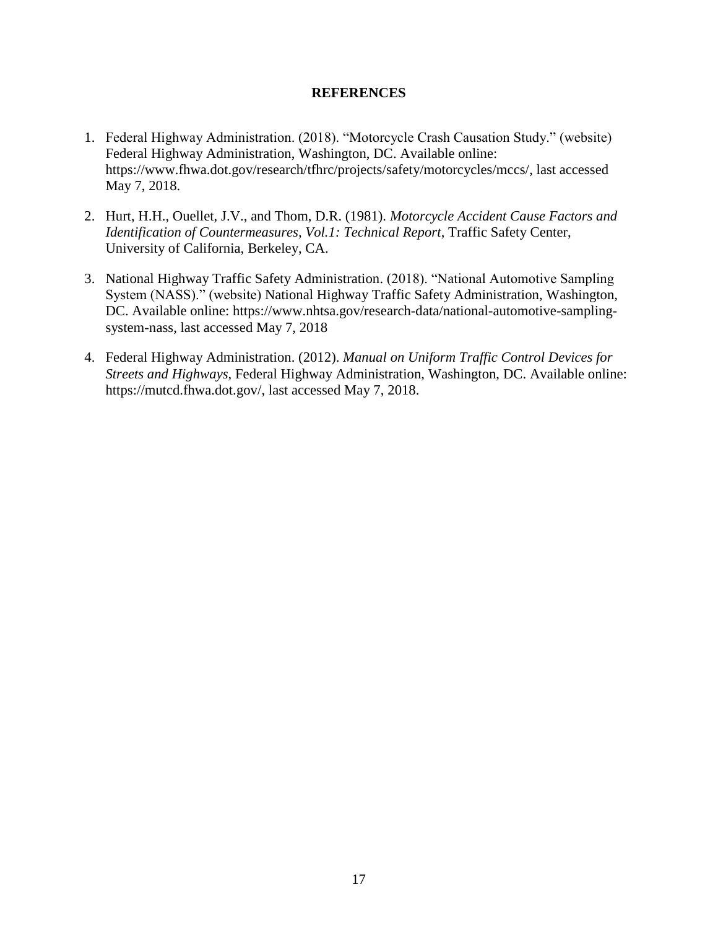#### **REFERENCES**

- <span id="page-24-0"></span>1. Federal Highway Administration. (2018). "Motorcycle Crash Causation Study." (website) Federal Highway Administration, Washington, DC. Available online: https://www.fhwa.dot.gov/research/tfhrc/projects/safety/motorcycles/mccs/, last accessed May 7, 2018.
- 2. Hurt, H.H., Ouellet, J.V., and Thom, D.R. (1981). *Motorcycle Accident Cause Factors and Identification of Countermeasures, Vol.1: Technical Report*, Traffic Safety Center, University of California, Berkeley, CA.
- 3. National Highway Traffic Safety Administration. (2018). "National Automotive Sampling System (NASS)." (website) National Highway Traffic Safety Administration, Washington, DC. Available online: https://www.nhtsa.gov/research-data/national-automotive-samplingsystem-nass, last accessed May 7, 2018
- 4. Federal Highway Administration. (2012). *Manual on Uniform Traffic Control Devices for Streets and Highways*, Federal Highway Administration, Washington, DC. Available online: https://mutcd.fhwa.dot.gov/, last accessed May 7, 2018.